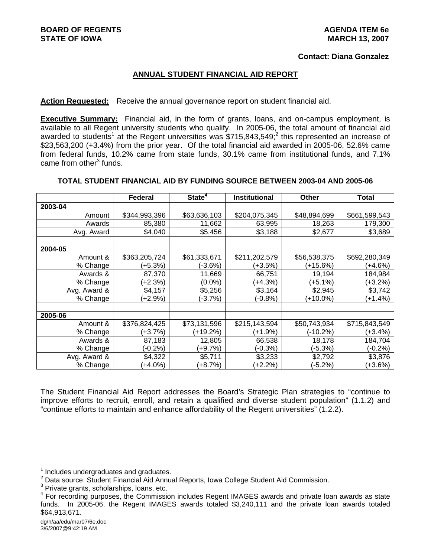#### **Contact: Diana Gonzalez**

#### **ANNUAL STUDENT FINANCIAL AID REPORT**

#### **Action Requested:** Receive the annual governance report on student financial aid.

**Executive Summary:** Financial aid, in the form of grants, loans, and on-campus employment, is available to all Regent university students who qualify. In 2005-06, the total amount of financial aid awarded to students<sup>1</sup> at the Regent universities was \$715,843,549;<sup>2</sup> this represented an increase of \$23,563,200 (+3.4%) from the prior year. Of the total financial aid awarded in 2005-06, 52.6% came from federal funds, 10.2% came from state funds, 30.1% came from institutional funds, and 7.1% came from other<sup>3</sup> funds.

#### **TOTAL STUDENT FINANCIAL AID BY FUNDING SOURCE BETWEEN 2003-04 AND 2005-06**

|              | <b>Federal</b> | State <sup>4</sup> | <b>Institutional</b> |              | Total         |  |
|--------------|----------------|--------------------|----------------------|--------------|---------------|--|
| 2003-04      |                |                    |                      |              |               |  |
| Amount       | \$344,993,396  | \$63,636,103       | \$204,075,345        | \$48,894,699 | \$661,599,543 |  |
| Awards       | 85,380         | 11,662             | 63,995               | 18,263       | 179,300       |  |
| Avg. Award   | \$4,040        | \$5,456            | \$3,188              | \$2,677      | \$3,689       |  |
|              |                |                    |                      |              |               |  |
| 2004-05      |                |                    |                      |              |               |  |
| Amount &     | \$363,205,724  | \$61,333,671       | \$211,202,579        | \$56,538,375 | \$692,280,349 |  |
| % Change     | $(+5.3%)$      | $(-3.6%)$          | (+3.5%)              | $(+15.6%)$   | $(+4.6%)$     |  |
| Awards &     | 87,370         | 11,669             | 66,751               | 19,194       | 184,984       |  |
| % Change     | (+2.3%)        | $(0.0\%)$          | (+4.3%)              | (+5.1%)      | $(+3.2%)$     |  |
| Avg. Award & | \$4,157        | \$5,256            | \$3,164              | \$2,945      | \$3,742       |  |
| % Change     | (+2.9%)        | $(-3.7%)$          | (-0.8%)              | (+10.0%)     | (+1.4%)       |  |
|              |                |                    |                      |              |               |  |
| 2005-06      |                |                    |                      |              |               |  |
| Amount &     | \$376,824,425  | \$73,131,596       | \$215,143,594        | \$50,743,934 | \$715,843,549 |  |
| % Change     | $(+3.7%)$      | (+19.2%)           | $(+1.9%)$            | (-10.2%)     | (+3.4%)       |  |
| Awards &     | 87,183         | 12,805             | 66,538               | 18,178       | 184,704       |  |
| % Change     | $(-0.2\%)$     | $(+9.7%)$          | $(-0.3%)$            | $(-5.3%)$    | $(-0.2\%)$    |  |
| Avg. Award & | \$4,322        | \$5,711            | \$3,233              | \$2,792      | \$3,876       |  |
| % Change     | $(+4.0\%)$     | $(+8.7%)$          | $(+2.2%)$            | $(-5.2%)$    | $(+3.6%)$     |  |

The Student Financial Aid Report addresses the Board's Strategic Plan strategies to "continue to improve efforts to recruit, enroll, and retain a qualified and diverse student population" (1.1.2) and "continue efforts to maintain and enhance affordability of the Regent universities" (1.2.2).

l

<sup>1</sup> Includes undergraduates and graduates.

<sup>&</sup>lt;sup>2</sup> Data source: Student Financial Aid Annual Reports, Iowa College Student Aid Commission.

 $3$  Private grants, scholarships, loans, etc.

<sup>4</sup> For recording purposes, the Commission includes Regent IMAGES awards and private loan awards as state funds. In 2005-06, the Regent IMAGES awards totaled \$3,240,111 and the private loan awards totaled \$64,913,671.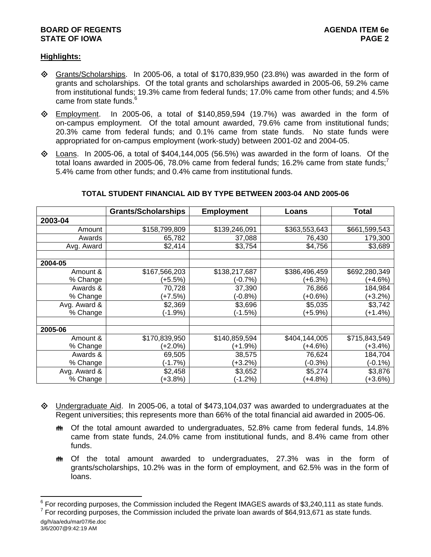# **BOARD OF REGENTS AGENUS AGENDA ITEM 6e STATE OF IOWA** PAGE 2

# **Highlights:**

- $\Diamond$  Grants/Scholarships. In 2005-06, a total of \$170,839,950 (23.8%) was awarded in the form of grants and scholarships. Of the total grants and scholarships awarded in 2005-06, 59.2% came from institutional funds; 19.3% came from federal funds; 17.0% came from other funds; and 4.5% came from state funds.<sup>6</sup>
- $\diamond$  Employment. In 2005-06, a total of \$140,859,594 (19.7%) was awarded in the form of on-campus employment. Of the total amount awarded, 79.6% came from institutional funds; 20.3% came from federal funds; and 0.1% came from state funds. No state funds were appropriated for on-campus employment (work-study) between 2001-02 and 2004-05.
- $\Diamond$  Loans. In 2005-06, a total of \$404,144,005 (56.5%) was awarded in the form of loans. Of the total loans awarded in 2005-06, 78.0% came from federal funds; 16.2% came from state funds;<sup>7</sup> 5.4% came from other funds; and 0.4% came from institutional funds.

|              | <b>Grants/Scholarships</b> | <b>Employment</b> | Loans         | Total         |
|--------------|----------------------------|-------------------|---------------|---------------|
| 2003-04      |                            |                   |               |               |
| Amount       | \$158,799,809              | \$139,246,091     | \$363,553,643 | \$661,599,543 |
| Awards       | 65,782                     | 37,088            | 76,430        | 179,300       |
| Avg. Award   | \$2,414                    | \$3,754           | \$4,756       | \$3,689       |
|              |                            |                   |               |               |
| 2004-05      |                            |                   |               |               |
| Amount &     | \$167,566,203              | \$138,217,687     | \$386,496,459 | \$692,280,349 |
| % Change     | (+5.5%)                    | (-0.7%)           | (+6.3%)       | (+4.6%)       |
| Awards &     | 70,728                     | 37,390            | 76,866        | 184,984       |
| % Change     | $(+7.5%)$                  | $(-0.8%)$         | $(+0.6%)$     | $(+3.2%)$     |
| Avg. Award & | \$2,369                    | \$3,696           | \$5,035       | \$3,742       |
| % Change     | (-1.9%)                    | (-1.5%)           | (+5.9%)       | (+1.4%)       |
|              |                            |                   |               |               |
| 2005-06      |                            |                   |               |               |
| Amount &     | \$170,839,950              | \$140,859,594     | \$404,144,005 | \$715,843,549 |
| % Change     | (+2.0%)                    | (+1.9%)           | (+4.6%)       | $(+3.4%)$     |
| Awards &     | 69,505                     | 38,575            | 76,624        | 184,704       |
| % Change     | $(-1.7%)$                  | (+3.2%)           | $(-0.3%)$     | $(-0.1\%)$    |
| Avg. Award & | \$2,458                    | \$3,652           | \$5,274       | \$3,876       |
| % Change     | $+3.8%$                    | $(-1.2%)$         | (+4.8%)       | $(+3.6%)$     |

### **TOTAL STUDENT FINANCIAL AID BY TYPE BETWEEN 2003-04 AND 2005-06**

- $\Diamond$  Undergraduate Aid. In 2005-06, a total of \$473,104,037 was awarded to undergraduates at the Regent universities; this represents more than 66% of the total financial aid awarded in 2005-06.
	- $m$  Of the total amount awarded to undergraduates, 52.8% came from federal funds, 14.8% came from state funds, 24.0% came from institutional funds, and 8.4% came from other funds.
	- $m$  Of the total amount awarded to undergraduates, 27.3% was in the form of grants/scholarships, 10.2% was in the form of employment, and 62.5% was in the form of loans.

dg/h/aa/edu/mar07/6e.doc  $7$  For recording purposes, the Commission included the private loan awards of \$64,913,671 as state funds.

External on the Commission included the Regent IMAGES awards of \$3,240,111 as state funds.<br>The recording purposes, the Commission included the Regent IMAGES awards of \$3,240,111 as state funds.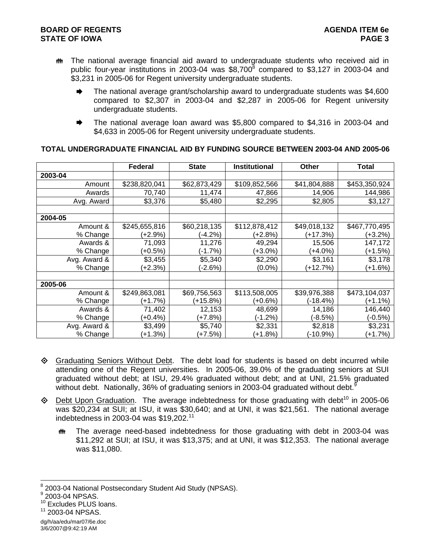- $m$  The national average financial aid award to undergraduate students who received aid in public four-year institutions in 2003-04 was  $$8,700^8$  compared to \$3,127 in 2003-04 and \$3,231 in 2005-06 for Regent university undergraduate students.
	- $\blacktriangleright$  The national average grant/scholarship award to undergraduate students was \$4,600 compared to \$2,307 in 2003-04 and \$2,287 in 2005-06 for Regent university undergraduate students.
	- $\blacktriangleright$  The national average loan award was \$5,800 compared to \$4,316 in 2003-04 and \$4,633 in 2005-06 for Regent university undergraduate students.

|              | Federal       | <b>State</b> | <b>Institutional</b> | <b>Other</b> | <b>Total</b>  |
|--------------|---------------|--------------|----------------------|--------------|---------------|
| 2003-04      |               |              |                      |              |               |
| Amount       | \$238,820,041 | \$62,873,429 | \$109,852,566        | \$41,804,888 | \$453,350,924 |
| Awards       | 70,740        | 11,474       | 47,866               | 14,906       | 144,986       |
| Avg. Award   | \$3,376       | \$5,480      | \$2,295              | \$2,805      | \$3,127       |
|              |               |              |                      |              |               |
| 2004-05      |               |              |                      |              |               |
| Amount &     | \$245,655,816 | \$60,218,135 | \$112,878,412        | \$49,018,132 | \$467,770,495 |
| % Change     | (+2.9%)       | $(-4.2%)$    | (+2.8%)              | (+17.3%)     | (+3.2%)       |
| Awards &     | 71,093        | 11,276       | 49,294               | 15,506       | 147,172       |
| % Change     | (+0.5%)       | $(-1.7%)$    | (+3.0%)              | (+4.0%)      | (+1.5%)       |
| Avg. Award & | \$3,455       | \$5,340      | \$2,290              | \$3,161      | \$3,178       |
| % Change     | (+2.3%)       | $(-2.6%)$    | $(0.0\%)$            | (+12.7%)     | (+1.6%)       |
|              |               |              |                      |              |               |
| 2005-06      |               |              |                      |              |               |
| Amount &     | \$249,863,081 | \$69,756,563 | \$113,508,005        | \$39,976,388 | \$473,104,037 |
| % Change     | (+1.7%)       | (+15.8%)     | (+0.6%)              | (-18.4%)     | (+1.1%)       |
| Awards &     | 71,402        | 12,153       | 48,699               | 14,186       | 146,440       |
| % Change     | (+0.4%)       | (+7.8%)      | (-1.2%)              | (-8.5%)      | $(-0.5%)$     |
| Avg. Award & | \$3,499       | \$5,740      | \$2,331              | \$2,818      | \$3,231       |
| % Change     | (+1.3%)       | (+7.5%)      | $+1.8%$              | (-10.9%)     | $(+1.7%)$     |

- $\Diamond$  Graduating Seniors Without Debt. The debt load for students is based on debt incurred while attending one of the Regent universities. In 2005-06, 39.0% of the graduating seniors at SUI graduated without debt; at ISU, 29.4% graduated without debt; and at UNI, 21.5% graduated without debt. Nationally, 36% of graduating seniors in 2003-04 graduated without debt.
- $\Diamond$  Debt Upon Graduation. The average indebtedness for those graduating with debt<sup>10</sup> in 2005-06 was \$20,234 at SUI; at ISU, it was \$30,640; and at UNI, it was \$21,561. The national average indebtedness in 2003-04 was \$19,202.<sup>11</sup>
	- **\*\*** The average need-based indebtedness for those graduating with debt in 2003-04 was \$11,292 at SUI; at ISU, it was \$13,375; and at UNI, it was \$12,353. The national average was \$11,080.

l  $^8$  2003-04 National Postsecondary Student Aid Study (NPSAS).<br>9 2003 04 NRSAS

dg/h/aa/edu/mar07/6e.doc 3/6/2007@9:42:19 AM

 $9$  2003-04 NPSAS.

<sup>&</sup>lt;sup>10</sup> Excludes PLUS loans.

<sup>11 2003-04</sup> NPSAS.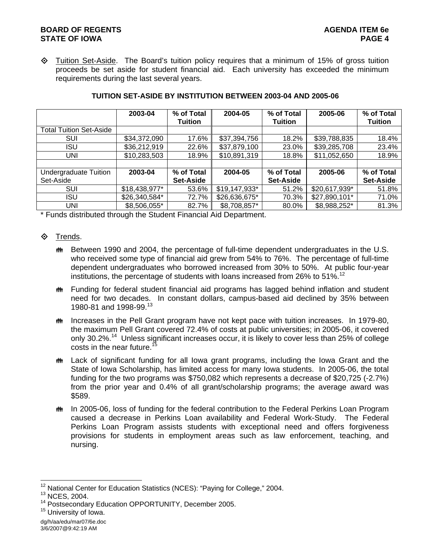# **BOARD OF REGENTS** AGENUS AGENDA ITEM 6e **STATE OF IOWA** PAGE 4

 $\Diamond$  Tuition Set-Aside. The Board's tuition policy requires that a minimum of 15% of gross tuition proceeds be set aside for student financial aid. Each university has exceeded the minimum requirements during the last several years.

|                                | 2003-04       | % of Total | 2004-05       | % of Total       | 2005-06       | % of Total       |
|--------------------------------|---------------|------------|---------------|------------------|---------------|------------------|
|                                |               | Tuition    |               | <b>Tuition</b>   |               | Tuition          |
| <b>Total Tuition Set-Aside</b> |               |            |               |                  |               |                  |
| SUI                            | \$34,372,090  | 17.6%      | \$37,394,756  | 18.2%            | \$39,788,835  | 18.4%            |
| <b>ISU</b>                     | \$36,212,919  | 22.6%      | \$37,879,100  | 23.0%            | \$39,285,708  | 23.4%            |
| UNI                            | \$10,283,503  | 18.9%      | \$10,891,319  | 18.8%            | \$11,052,650  | 18.9%            |
|                                |               |            |               |                  |               |                  |
| Undergraduate Tuition          | 2003-04       | % of Total | 2004-05       | % of Total       | 2005-06       | % of Total       |
| Set-Aside                      |               | Set-Aside  |               | <b>Set-Aside</b> |               | <b>Set-Aside</b> |
| SUI                            | \$18,438,977* | 53.6%      | \$19,147,933* | 51.2%            | \$20,617,939* | 51.8%            |
| <b>ISU</b>                     | \$26,340,584* | 72.7%      | \$26,636,675* | 70.3%            | \$27,890,101* | 71.0%            |
| <b>UNI</b>                     | \$8,506,055*  | 82.7%      | \$8,708,857*  | 80.0%            | \$8,988,252*  | 81.3%            |

# **TUITION SET-ASIDE BY INSTITUTION BETWEEN 2003-04 AND 2005-06**

\* Funds distributed through the Student Financial Aid Department.

# **♦ Trends.**

- **##** Between 1990 and 2004, the percentage of full-time dependent undergraduates in the U.S. who received some type of financial aid grew from 54% to 76%. The percentage of full-time dependent undergraduates who borrowed increased from 30% to 50%. At public four-year institutions, the percentage of students with loans increased from 26% to 51%.<sup>12</sup>
- **\*\*** Funding for federal student financial aid programs has lagged behind inflation and student need for two decades. In constant dollars, campus-based aid declined by 35% between 1980-81 and 1998-99.<sup>13</sup>
- **\*\*** Increases in the Pell Grant program have not kept pace with tuition increases. In 1979-80, the maximum Pell Grant covered 72.4% of costs at public universities; in 2005-06, it covered only 30.2%<sup>14</sup> Unless significant increases occur, it is likely to cover less than 25% of college costs in the near future.<sup>15</sup>
- $m$  Lack of significant funding for all lowa grant programs, including the lowa Grant and the State of Iowa Scholarship, has limited access for many Iowa students. In 2005-06, the total funding for the two programs was \$750,082 which represents a decrease of \$20,725 (-2.7%) from the prior year and 0.4% of all grant/scholarship programs; the average award was \$589.
- **the In 2005-06, loss of funding for the federal contribution to the Federal Perkins Loan Program** caused a decrease in Perkins Loan availability and Federal Work-Study. The Federal Perkins Loan Program assists students with exceptional need and offers forgiveness provisions for students in employment areas such as law enforcement, teaching, and nursing.

l <sup>12</sup> National Center for Education Statistics (NCES): "Paying for College," 2004.<br><sup>13</sup> NCES, 2004.

<sup>&</sup>lt;sup>13</sup> NCES, 2004.<br><sup>14</sup> Postsecondary Education OPPORTUNITY, December 2005.<br><sup>15</sup> University of Iowa.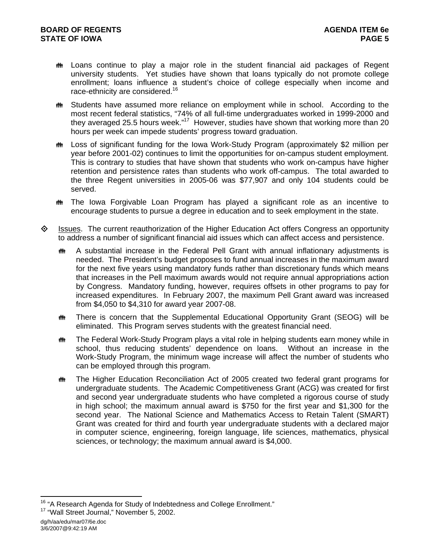- $m$  Loans continue to play a major role in the student financial aid packages of Regent university students. Yet studies have shown that loans typically do not promote college enrollment; loans influence a student's choice of college especially when income and race-ethnicity are considered.<sup>16</sup>
- **\*\*** Students have assumed more reliance on employment while in school. According to the most recent federal statistics, "74% of all full-time undergraduates worked in 1999-2000 and they averaged 25.5 hours week."<sup>17</sup> However, studies have shown that working more than 20 hours per week can impede students' progress toward graduation.
- **the Loss of significant funding for the Iowa Work-Study Program (approximately \$2 million per** year before 2001-02) continues to limit the opportunities for on-campus student employment. This is contrary to studies that have shown that students who work on-campus have higher retention and persistence rates than students who work off-campus. The total awarded to the three Regent universities in 2005-06 was \$77,907 and only 104 students could be served.
- $\ddot{\mathbf{w}}$  The Iowa Forgivable Loan Program has played a significant role as an incentive to encourage students to pursue a degree in education and to seek employment in the state.
- $\Diamond$  Issues. The current reauthorization of the Higher Education Act offers Congress an opportunity to address a number of significant financial aid issues which can affect access and persistence.
	- $\bullet$  A substantial increase in the Federal Pell Grant with annual inflationary adjustments is needed. The President's budget proposes to fund annual increases in the maximum award for the next five years using mandatory funds rather than discretionary funds which means that increases in the Pell maximum awards would not require annual appropriations action by Congress. Mandatory funding, however, requires offsets in other programs to pay for increased expenditures. In February 2007, the maximum Pell Grant award was increased from \$4,050 to \$4,310 for award year 2007-08.
	- $\ddot{\mathbf{m}}$  There is concern that the Supplemental Educational Opportunity Grant (SEOG) will be eliminated. This Program serves students with the greatest financial need.
	- **\*\*\*** The Federal Work-Study Program plays a vital role in helping students earn money while in school, thus reducing students' dependence on loans. Without an increase in the Work-Study Program, the minimum wage increase will affect the number of students who can be employed through this program.
	- **##** The Higher Education Reconciliation Act of 2005 created two federal grant programs for undergraduate students. The Academic Competitiveness Grant (ACG) was created for first and second year undergraduate students who have completed a rigorous course of study in high school; the maximum annual award is \$750 for the first year and \$1,300 for the second year. The National Science and Mathematics Access to Retain Talent (SMART) Grant was created for third and fourth year undergraduate students with a declared major in computer science, engineering, foreign language, life sciences, mathematics, physical sciences, or technology; the maximum annual award is \$4,000.

l

<sup>&</sup>lt;sup>16</sup> "A Research Agenda for Study of Indebtedness and College Enrollment."<br><sup>17</sup> "Wall Street Journal," November 5, 2002.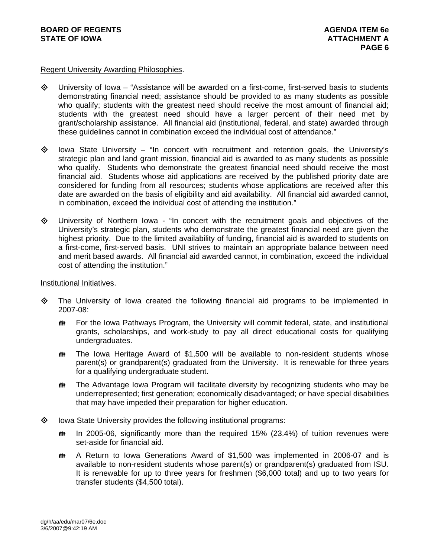### Regent University Awarding Philosophies.

- $\Diamond$  University of Iowa "Assistance will be awarded on a first-come, first-served basis to students demonstrating financial need; assistance should be provided to as many students as possible who qualify; students with the greatest need should receive the most amount of financial aid; students with the greatest need should have a larger percent of their need met by grant/scholarship assistance. All financial aid (institutional, federal, and state) awarded through these guidelines cannot in combination exceed the individual cost of attendance."
- $\diamond$  Iowa State University "In concert with recruitment and retention goals, the University's strategic plan and land grant mission, financial aid is awarded to as many students as possible who qualify. Students who demonstrate the greatest financial need should receive the most financial aid. Students whose aid applications are received by the published priority date are considered for funding from all resources; students whose applications are received after this date are awarded on the basis of eligibility and aid availability. All financial aid awarded cannot, in combination, exceed the individual cost of attending the institution."
- $\Diamond$  University of Northern Iowa "In concert with the recruitment goals and objectives of the University's strategic plan, students who demonstrate the greatest financial need are given the highest priority. Due to the limited availability of funding, financial aid is awarded to students on a first-come, first-served basis. UNI strives to maintain an appropriate balance between need and merit based awards. All financial aid awarded cannot, in combination, exceed the individual cost of attending the institution."

#### Institutional Initiatives.

- The University of Iowa created the following financial aid programs to be implemented in 2007-08:
	- **\*\*** For the Iowa Pathways Program, the University will commit federal, state, and institutional grants, scholarships, and work-study to pay all direct educational costs for qualifying undergraduates.
	- $\ddot{\mathbf{m}}$  The Iowa Heritage Award of \$1,500 will be available to non-resident students whose parent(s) or grandparent(s) graduated from the University. It is renewable for three years for a qualifying undergraduate student.
	- $\ddot{\mathbf{m}}$  The Advantage Iowa Program will facilitate diversity by recognizing students who may be underrepresented; first generation; economically disadvantaged; or have special disabilities that may have impeded their preparation for higher education.
- $\diamond$  lowa State University provides the following institutional programs:
	- $\bullet$  In 2005-06, significantly more than the required 15% (23.4%) of tuition revenues were set-aside for financial aid.
	- $m$  A Return to Iowa Generations Award of \$1,500 was implemented in 2006-07 and is available to non-resident students whose parent(s) or grandparent(s) graduated from ISU. It is renewable for up to three years for freshmen (\$6,000 total) and up to two years for transfer students (\$4,500 total).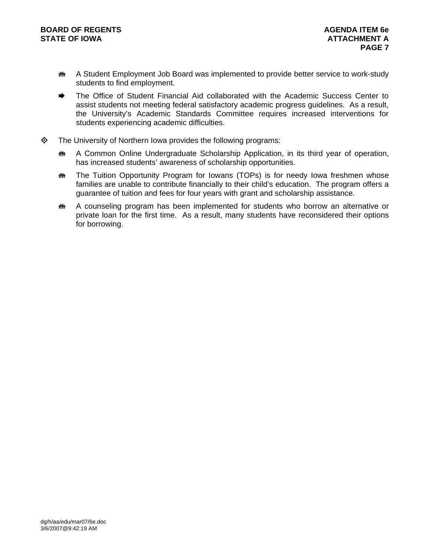- **\*\*\*** A Student Employment Job Board was implemented to provide better service to work-study students to find employment.
- The Office of Student Financial Aid collaborated with the Academic Success Center to assist students not meeting federal satisfactory academic progress guidelines. As a result, the University's Academic Standards Committee requires increased interventions for students experiencing academic difficulties.
- $\diamond$  The University of Northern Iowa provides the following programs:
	- **\*\*\*** A Common Online Undergraduate Scholarship Application, in its third year of operation, has increased students' awareness of scholarship opportunities.
	- $\mathbf{f}$  The Tuition Opportunity Program for Iowans (TOPs) is for needy Iowa freshmen whose families are unable to contribute financially to their child's education. The program offers a guarantee of tuition and fees for four years with grant and scholarship assistance.
	- $\ddot{\mathbf{m}}$  A counseling program has been implemented for students who borrow an alternative or private loan for the first time. As a result, many students have reconsidered their options for borrowing.